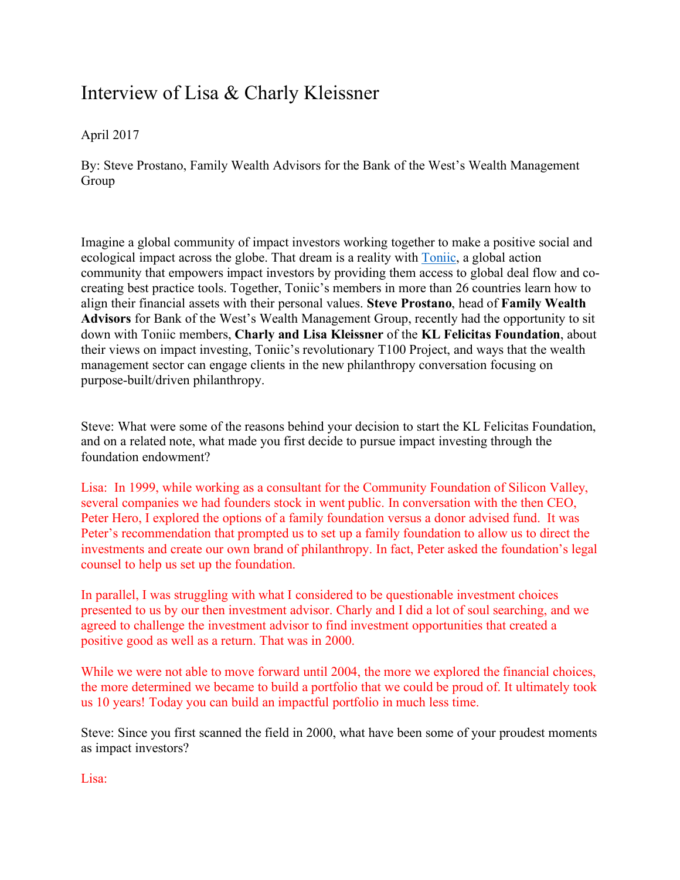## Interview of Lisa & Charly Kleissner

## April 2017

By: Steve Prostano, Family Wealth Advisors for the Bank of the West's Wealth Management Group

Imagine a global community of impact investors working together to make a positive social and ecological impact across the globe. That dream is a reality with Toniic, a global action community that empowers impact investors by providing them access to global deal flow and cocreating best practice tools. Together, Toniic's members in more than 26 countries learn how to align their financial assets with their personal values. **Steve Prostano**, head of **Family Wealth Advisors** for Bank of the West's Wealth Management Group, recently had the opportunity to sit down with Toniic members, **Charly and Lisa Kleissner** of the **KL Felicitas Foundation**, about their views on impact investing, Toniic's revolutionary T100 Project, and ways that the wealth management sector can engage clients in the new philanthropy conversation focusing on purpose-built/driven philanthropy.

Steve: What were some of the reasons behind your decision to start the KL Felicitas Foundation, and on a related note, what made you first decide to pursue impact investing through the foundation endowment?

Lisa: In 1999, while working as a consultant for the Community Foundation of Silicon Valley, several companies we had founders stock in went public. In conversation with the then CEO, Peter Hero, I explored the options of a family foundation versus a donor advised fund. It was Peter's recommendation that prompted us to set up a family foundation to allow us to direct the investments and create our own brand of philanthropy. In fact, Peter asked the foundation's legal counsel to help us set up the foundation.

In parallel, I was struggling with what I considered to be questionable investment choices presented to us by our then investment advisor. Charly and I did a lot of soul searching, and we agreed to challenge the investment advisor to find investment opportunities that created a positive good as well as a return. That was in 2000.

While we were not able to move forward until 2004, the more we explored the financial choices, the more determined we became to build a portfolio that we could be proud of. It ultimately took us 10 years! Today you can build an impactful portfolio in much less time.

Steve: Since you first scanned the field in 2000, what have been some of your proudest moments as impact investors?

Lisa: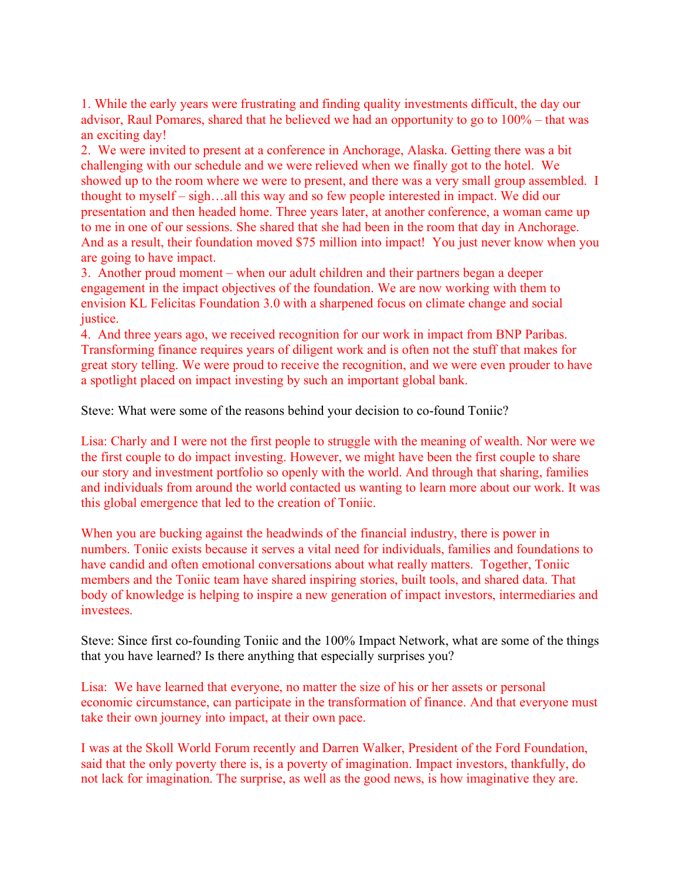1. While the early years were frustrating and finding quality investments difficult, the day our advisor, Raul Pomares, shared that he believed we had an opportunity to go to 100% – that was an exciting day!

2. We were invited to present at a conference in Anchorage, Alaska. Getting there was a bit challenging with our schedule and we were relieved when we finally got to the hotel. We showed up to the room where we were to present, and there was a very small group assembled. I thought to myself – sigh…all this way and so few people interested in impact. We did our presentation and then headed home. Three years later, at another conference, a woman came up to me in one of our sessions. She shared that she had been in the room that day in Anchorage. And as a result, their foundation moved \$75 million into impact! You just never know when you are going to have impact.

3. Another proud moment – when our adult children and their partners began a deeper engagement in the impact objectives of the foundation. We are now working with them to envision KL Felicitas Foundation 3.0 with a sharpened focus on climate change and social justice.

4. And three years ago, we received recognition for our work in impact from BNP Paribas. Transforming finance requires years of diligent work and is often not the stuff that makes for great story telling. We were proud to receive the recognition, and we were even prouder to have a spotlight placed on impact investing by such an important global bank.

Steve: What were some of the reasons behind your decision to co-found Toniic?

Lisa: Charly and I were not the first people to struggle with the meaning of wealth. Nor were we the first couple to do impact investing. However, we might have been the first couple to share our story and investment portfolio so openly with the world. And through that sharing, families and individuals from around the world contacted us wanting to learn more about our work. It was this global emergence that led to the creation of Toniic.

When you are bucking against the headwinds of the financial industry, there is power in numbers. Toniic exists because it serves a vital need for individuals, families and foundations to have candid and often emotional conversations about what really matters. Together, Toniic members and the Toniic team have shared inspiring stories, built tools, and shared data. That body of knowledge is helping to inspire a new generation of impact investors, intermediaries and investees.

Steve: Since first co-founding Toniic and the 100% Impact Network, what are some of the things that you have learned? Is there anything that especially surprises you?

Lisa: We have learned that everyone, no matter the size of his or her assets or personal economic circumstance, can participate in the transformation of finance. And that everyone must take their own journey into impact, at their own pace.

I was at the Skoll World Forum recently and Darren Walker, President of the Ford Foundation, said that the only poverty there is, is a poverty of imagination. Impact investors, thankfully, do not lack for imagination. The surprise, as well as the good news, is how imaginative they are.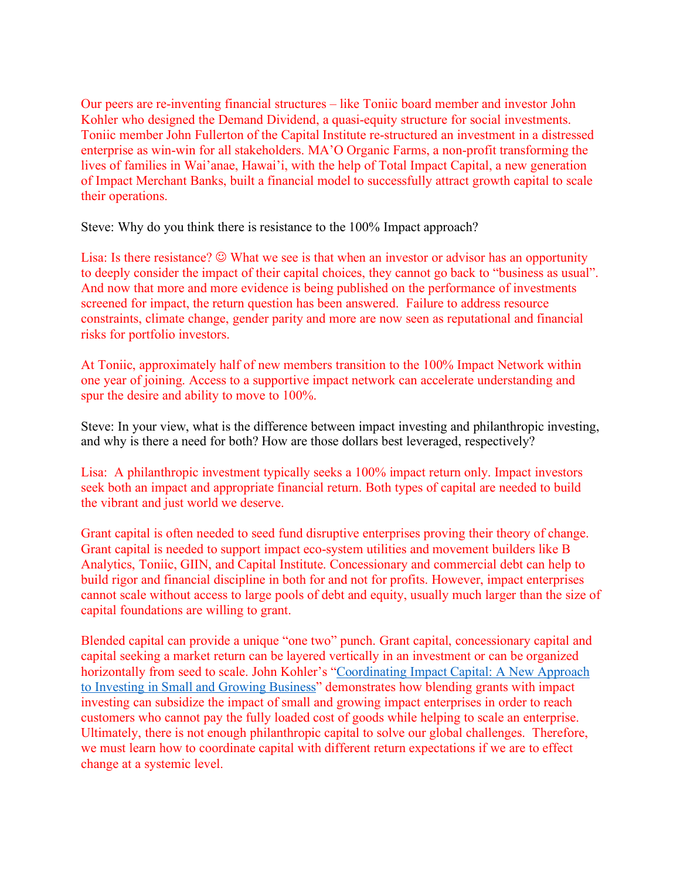Our peers are re-inventing financial structures – like Toniic board member and investor John Kohler who designed the Demand Dividend, a quasi-equity structure for social investments. Toniic member John Fullerton of the Capital Institute re-structured an investment in a distressed enterprise as win-win for all stakeholders. MA'O Organic Farms, a non-profit transforming the lives of families in Wai'anae, Hawai'i, with the help of Total Impact Capital, a new generation of Impact Merchant Banks, built a financial model to successfully attract growth capital to scale their operations.

Steve: Why do you think there is resistance to the 100% Impact approach?

Lisa: Is there resistance?  $\odot$  What we see is that when an investor or advisor has an opportunity to deeply consider the impact of their capital choices, they cannot go back to "business as usual". And now that more and more evidence is being published on the performance of investments screened for impact, the return question has been answered. Failure to address resource constraints, climate change, gender parity and more are now seen as reputational and financial risks for portfolio investors.

At Toniic, approximately half of new members transition to the 100% Impact Network within one year of joining. Access to a supportive impact network can accelerate understanding and spur the desire and ability to move to 100%.

Steve: In your view, what is the difference between impact investing and philanthropic investing, and why is there a need for both? How are those dollars best leveraged, respectively?

Lisa: A philanthropic investment typically seeks a 100% impact return only. Impact investors seek both an impact and appropriate financial return. Both types of capital are needed to build the vibrant and just world we deserve.

Grant capital is often needed to seed fund disruptive enterprises proving their theory of change. Grant capital is needed to support impact eco-system utilities and movement builders like B Analytics, Toniic, GIIN, and Capital Institute. Concessionary and commercial debt can help to build rigor and financial discipline in both for and not for profits. However, impact enterprises cannot scale without access to large pools of debt and equity, usually much larger than the size of capital foundations are willing to grant.

Blended capital can provide a unique "one two" punch. Grant capital, concessionary capital and capital seeking a market return can be layered vertically in an investment or can be organized horizontally from seed to scale. John Kohler's "Coordinating Impact Capital: A New Approach to Investing in Small and Growing Business" demonstrates how blending grants with impact investing can subsidize the impact of small and growing impact enterprises in order to reach customers who cannot pay the fully loaded cost of goods while helping to scale an enterprise. Ultimately, there is not enough philanthropic capital to solve our global challenges. Therefore, we must learn how to coordinate capital with different return expectations if we are to effect change at a systemic level.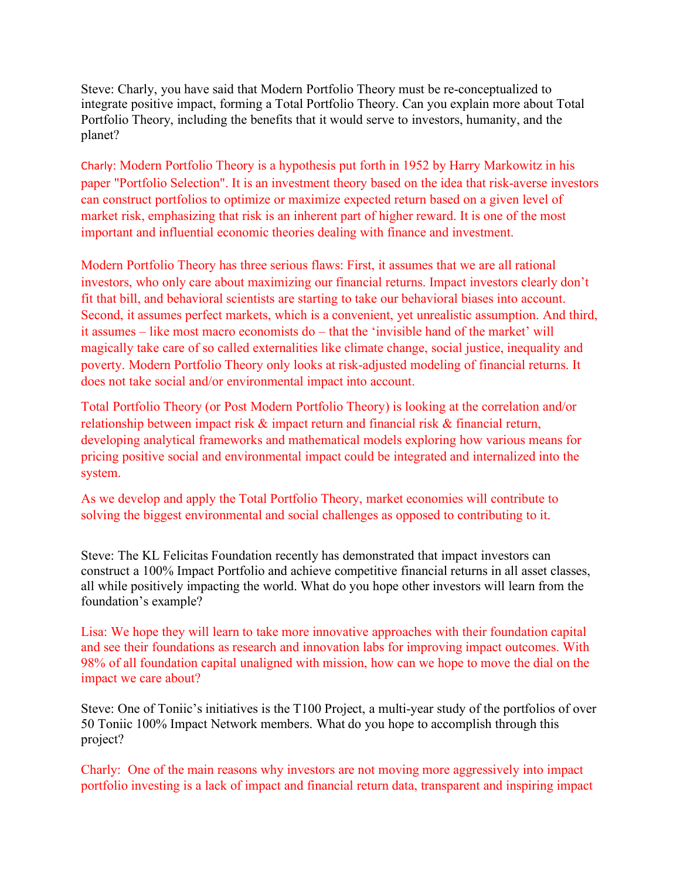Steve: Charly, you have said that Modern Portfolio Theory must be re-conceptualized to integrate positive impact, forming a Total Portfolio Theory. Can you explain more about Total Portfolio Theory, including the benefits that it would serve to investors, humanity, and the planet?

Charly: Modern Portfolio Theory is a hypothesis put forth in 1952 by Harry Markowitz in his paper "Portfolio Selection". It is an investment theory based on the idea that risk-averse investors can construct portfolios to optimize or maximize expected return based on a given level of market risk, emphasizing that risk is an inherent part of higher reward. It is one of the most important and influential economic theories dealing with finance and investment.

Modern Portfolio Theory has three serious flaws: First, it assumes that we are all rational investors, who only care about maximizing our financial returns. Impact investors clearly don't fit that bill, and behavioral scientists are starting to take our behavioral biases into account. Second, it assumes perfect markets, which is a convenient, yet unrealistic assumption. And third, it assumes – like most macro economists do – that the 'invisible hand of the market' will magically take care of so called externalities like climate change, social justice, inequality and poverty. Modern Portfolio Theory only looks at risk-adjusted modeling of financial returns. It does not take social and/or environmental impact into account.

Total Portfolio Theory (or Post Modern Portfolio Theory) is looking at the correlation and/or relationship between impact risk  $\&$  impact return and financial risk  $\&$  financial return, developing analytical frameworks and mathematical models exploring how various means for pricing positive social and environmental impact could be integrated and internalized into the system.

As we develop and apply the Total Portfolio Theory, market economies will contribute to solving the biggest environmental and social challenges as opposed to contributing to it.

Steve: The KL Felicitas Foundation recently has demonstrated that impact investors can construct a 100% Impact Portfolio and achieve competitive financial returns in all asset classes, all while positively impacting the world. What do you hope other investors will learn from the foundation's example?

Lisa: We hope they will learn to take more innovative approaches with their foundation capital and see their foundations as research and innovation labs for improving impact outcomes. With 98% of all foundation capital unaligned with mission, how can we hope to move the dial on the impact we care about?

Steve: One of Toniic's initiatives is the T100 Project, a multi-year study of the portfolios of over 50 Toniic 100% Impact Network members. What do you hope to accomplish through this project?

Charly: One of the main reasons why investors are not moving more aggressively into impact portfolio investing is a lack of impact and financial return data, transparent and inspiring impact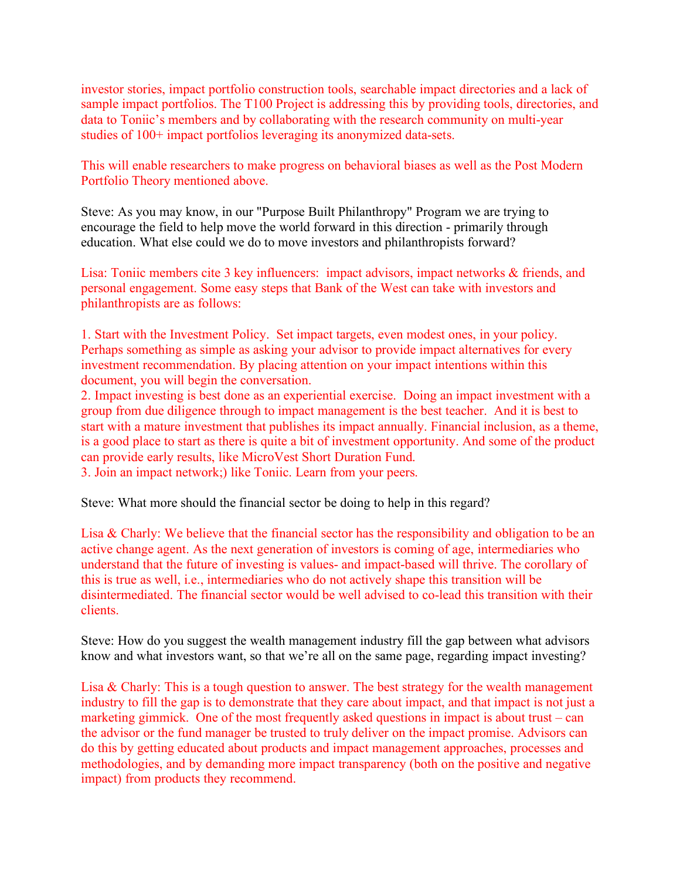investor stories, impact portfolio construction tools, searchable impact directories and a lack of sample impact portfolios. The T100 Project is addressing this by providing tools, directories, and data to Toniic's members and by collaborating with the research community on multi-year studies of 100+ impact portfolios leveraging its anonymized data-sets.

This will enable researchers to make progress on behavioral biases as well as the Post Modern Portfolio Theory mentioned above.

Steve: As you may know, in our "Purpose Built Philanthropy" Program we are trying to encourage the field to help move the world forward in this direction - primarily through education. What else could we do to move investors and philanthropists forward?

Lisa: Toniic members cite 3 key influencers: impact advisors, impact networks & friends, and personal engagement. Some easy steps that Bank of the West can take with investors and philanthropists are as follows:

1. Start with the Investment Policy. Set impact targets, even modest ones, in your policy. Perhaps something as simple as asking your advisor to provide impact alternatives for every investment recommendation. By placing attention on your impact intentions within this document, you will begin the conversation.

2. Impact investing is best done as an experiential exercise. Doing an impact investment with a group from due diligence through to impact management is the best teacher. And it is best to start with a mature investment that publishes its impact annually. Financial inclusion, as a theme, is a good place to start as there is quite a bit of investment opportunity. And some of the product can provide early results, like MicroVest Short Duration Fund.

3. Join an impact network;) like Toniic. Learn from your peers.

Steve: What more should the financial sector be doing to help in this regard?

Lisa & Charly: We believe that the financial sector has the responsibility and obligation to be an active change agent. As the next generation of investors is coming of age, intermediaries who understand that the future of investing is values- and impact-based will thrive. The corollary of this is true as well, i.e., intermediaries who do not actively shape this transition will be disintermediated. The financial sector would be well advised to co-lead this transition with their clients.

Steve: How do you suggest the wealth management industry fill the gap between what advisors know and what investors want, so that we're all on the same page, regarding impact investing?

Lisa & Charly: This is a tough question to answer. The best strategy for the wealth management industry to fill the gap is to demonstrate that they care about impact, and that impact is not just a marketing gimmick. One of the most frequently asked questions in impact is about trust – can the advisor or the fund manager be trusted to truly deliver on the impact promise. Advisors can do this by getting educated about products and impact management approaches, processes and methodologies, and by demanding more impact transparency (both on the positive and negative impact) from products they recommend.